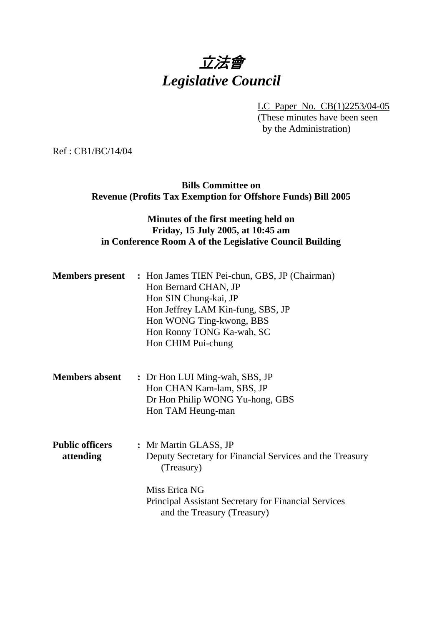# 立法會 *Legislative Council*

LC Paper No. CB(1)2253/04-05

(These minutes have been seen by the Administration)

Ref : CB1/BC/14/04

**Bills Committee on Revenue (Profits Tax Exemption for Offshore Funds) Bill 2005** 

# **Minutes of the first meeting held on Friday, 15 July 2005, at 10:45 am in Conference Room A of the Legislative Council Building**

|                                     | <b>Members present</b> : Hon James TIEN Pei-chun, GBS, JP (Chairman)<br>Hon Bernard CHAN, JP<br>Hon SIN Chung-kai, JP<br>Hon Jeffrey LAM Kin-fung, SBS, JP<br>Hon WONG Ting-kwong, BBS<br>Hon Ronny TONG Ka-wah, SC<br>Hon CHIM Pui-chung |
|-------------------------------------|-------------------------------------------------------------------------------------------------------------------------------------------------------------------------------------------------------------------------------------------|
| <b>Members absent</b>               | : Dr Hon LUI Ming-wah, SBS, JP<br>Hon CHAN Kam-lam, SBS, JP<br>Dr Hon Philip WONG Yu-hong, GBS<br>Hon TAM Heung-man                                                                                                                       |
| <b>Public officers</b><br>attending | : Mr Martin GLASS, JP<br>Deputy Secretary for Financial Services and the Treasury<br>(Treasury)<br>Miss Erica NG<br><b>Principal Assistant Secretary for Financial Services</b><br>and the Treasury (Treasury)                            |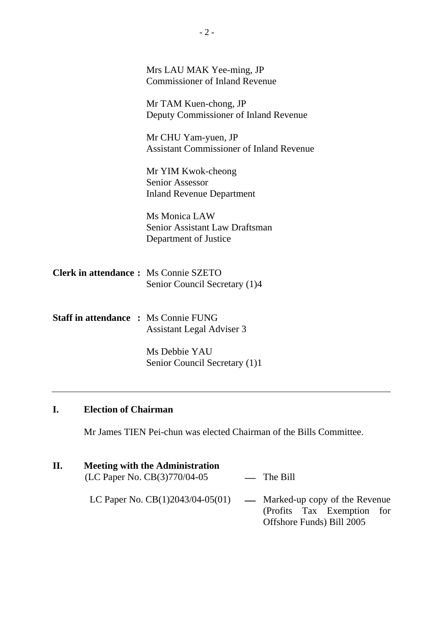|                                             | Mrs LAU MAK Yee-ming, JP<br><b>Commissioner of Inland Revenue</b>                |
|---------------------------------------------|----------------------------------------------------------------------------------|
|                                             | Mr TAM Kuen-chong, JP<br>Deputy Commissioner of Inland Revenue                   |
|                                             | Mr CHU Yam-yuen, JP<br><b>Assistant Commissioner of Inland Revenue</b>           |
|                                             | Mr YIM Kwok-cheong<br><b>Senior Assessor</b><br><b>Inland Revenue Department</b> |
|                                             | Ms Monica LAW<br><b>Senior Assistant Law Draftsman</b><br>Department of Justice  |
| <b>Clerk in attendance:</b> Ms Connie SZETO | Senior Council Secretary (1)4                                                    |
| <b>Staff in attendance : Ms Connie FUNG</b> | Assistant Legal Adviser 3                                                        |
|                                             | Ms Debbie YAU<br>Senior Council Secretary (1)1                                   |

# **I. Election of Chairman**

1 Mr James TIEN Pei-chun was elected Chairman of the Bills Committee.

| П. | <b>Meeting with the Administration</b><br>(LC Paper No. CB(3)770/04-05 | $\equiv$ The Bill                                                                                                             |
|----|------------------------------------------------------------------------|-------------------------------------------------------------------------------------------------------------------------------|
|    |                                                                        | LC Paper No. $CB(1)2043/04-05(01)$ — Marked-up copy of the Revenue<br>(Profits Tax Exemption for<br>Offshore Funds) Bill 2005 |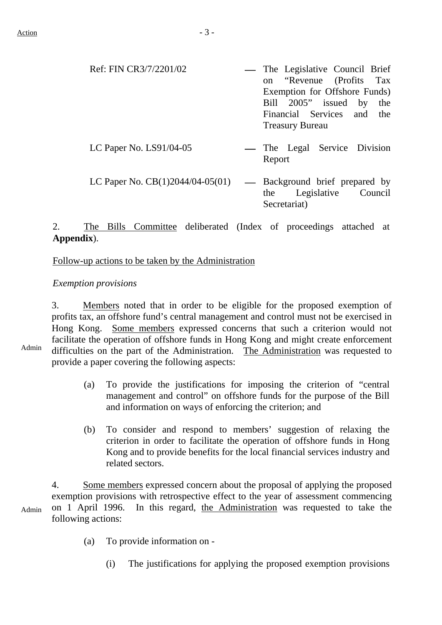| Ref: FIN CR3/7/2201/02             | — The Legislative Council Brief                                                                        |
|------------------------------------|--------------------------------------------------------------------------------------------------------|
|                                    | on "Revenue (Profits Tax                                                                               |
|                                    | Exemption for Offshore Funds)                                                                          |
|                                    | Bill 2005" issued by the                                                                               |
|                                    | Financial Services and the                                                                             |
|                                    | <b>Treasury Bureau</b>                                                                                 |
| LC Paper No. $LS91/04-05$          | — The Legal Service Division<br>Report                                                                 |
| LC Paper No. $CB(1)2044/04-05(01)$ | Background brief prepared by<br>$\overline{\phantom{0}}$<br>Legislative Council<br>the<br>Secretariat) |

## 2. The Bills Committee deliberated (Index of proceedings attached at **Appendix**).

#### Follow-up actions to be taken by the Administration

#### *Exemption provisions*

3. Members noted that in order to be eligible for the proposed exemption of profits tax, an offshore fund's central management and control must not be exercised in Hong Kong. Some members expressed concerns that such a criterion would not facilitate the operation of offshore funds in Hong Kong and might create enforcement difficulties on the part of the Administration. The Administration was requested to provide a paper covering the following aspects:

- (a) To provide the justifications for imposing the criterion of "central management and control" on offshore funds for the purpose of the Bill and information on ways of enforcing the criterion; and
- (b) To consider and respond to members' suggestion of relaxing the criterion in order to facilitate the operation of offshore funds in Hong Kong and to provide benefits for the local financial services industry and related sectors.

Admin 4. Some members expressed concern about the proposal of applying the proposed exemption provisions with retrospective effect to the year of assessment commencing on 1 April 1996. In this regard, the Administration was requested to take the following actions:

- (a) To provide information on
	- (i) The justifications for applying the proposed exemption provisions

Admin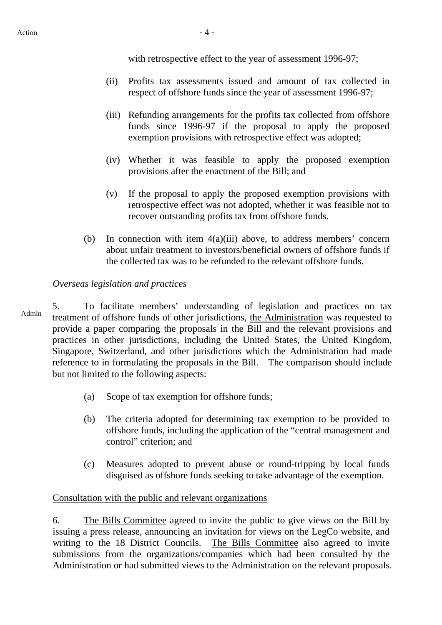with retrospective effect to the year of assessment 1996-97;

- (ii) Profits tax assessments issued and amount of tax collected in respect of offshore funds since the year of assessment 1996-97;
- (iii) Refunding arrangements for the profits tax collected from offshore funds since 1996-97 if the proposal to apply the proposed exemption provisions with retrospective effect was adopted;
- (iv) Whether it was feasible to apply the proposed exemption provisions after the enactment of the Bill; and
- (v) If the proposal to apply the proposed exemption provisions with retrospective effect was not adopted, whether it was feasible not to recover outstanding profits tax from offshore funds.
- (b) In connection with item 4(a)(iii) above, to address members' concern about unfair treatment to investors/beneficial owners of offshore funds if the collected tax was to be refunded to the relevant offshore funds.

#### *Overseas legislation and practices*

5. To facilitate members' understanding of legislation and practices on tax treatment of offshore funds of other jurisdictions, the Administration was requested to provide a paper comparing the proposals in the Bill and the relevant provisions and practices in other jurisdictions, including the United States, the United Kingdom, Singapore, Switzerland, and other jurisdictions which the Administration had made reference to in formulating the proposals in the Bill. The comparison should include but not limited to the following aspects:

- (a) Scope of tax exemption for offshore funds;
- (b) The criteria adopted for determining tax exemption to be provided to offshore funds, including the application of the "central management and control" criterion; and
- (c) Measures adopted to prevent abuse or round-tripping by local funds disguised as offshore funds seeking to take advantage of the exemption.

#### Consultation with the public and relevant organizations

6. The Bills Committee agreed to invite the public to give views on the Bill by issuing a press release, announcing an invitation for views on the LegCo website, and writing to the 18 District Councils. The Bills Committee also agreed to invite submissions from the organizations/companies which had been consulted by the Administration or had submitted views to the Administration on the relevant proposals.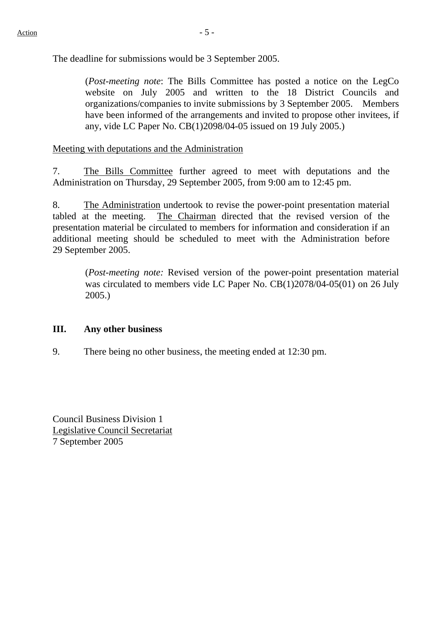The deadline for submissions would be 3 September 2005.

(*Post-meeting note*: The Bills Committee has posted a notice on the LegCo website on July 2005 and written to the 18 District Councils and organizations/companies to invite submissions by 3 September 2005. Members have been informed of the arrangements and invited to propose other invitees, if any, vide LC Paper No. CB(1)2098/04-05 issued on 19 July 2005.)

Meeting with deputations and the Administration

7. The Bills Committee further agreed to meet with deputations and the Administration on Thursday, 29 September 2005, from 9:00 am to 12:45 pm.

8. The Administration undertook to revise the power-point presentation material tabled at the meeting. The Chairman directed that the revised version of the presentation material be circulated to members for information and consideration if an additional meeting should be scheduled to meet with the Administration before 29 September 2005.

(*Post-meeting note:* Revised version of the power-point presentation material was circulated to members vide LC Paper No. CB(1)2078/04-05(01) on 26 July 2005.)

#### **III. Any other business**

9. There being no other business, the meeting ended at 12:30 pm.

Council Business Division 1 Legislative Council Secretariat 7 September 2005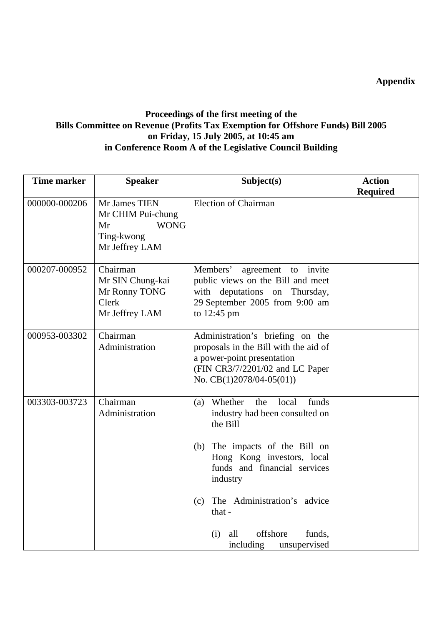**Appendix** 

### **Proceedings of the first meeting of the Bills Committee on Revenue (Profits Tax Exemption for Offshore Funds) Bill 2005 on Friday, 15 July 2005, at 10:45 am in Conference Room A of the Legislative Council Building**

| <b>Time marker</b> | <b>Speaker</b>                                                                          | Subject(s)                                                                                                                                                                                                                              | <b>Action</b>   |
|--------------------|-----------------------------------------------------------------------------------------|-----------------------------------------------------------------------------------------------------------------------------------------------------------------------------------------------------------------------------------------|-----------------|
|                    |                                                                                         |                                                                                                                                                                                                                                         | <b>Required</b> |
| 000000-000206      | Mr James TIEN<br>Mr CHIM Pui-chung<br><b>WONG</b><br>Mr<br>Ting-kwong<br>Mr Jeffrey LAM | <b>Election of Chairman</b>                                                                                                                                                                                                             |                 |
| 000207-000952      | Chairman<br>Mr SIN Chung-kai<br>Mr Ronny TONG<br>Clerk<br>Mr Jeffrey LAM                | Members'<br>invite<br>agreement<br>to<br>public views on the Bill and meet<br>with deputations on Thursday,<br>29 September 2005 from 9:00 am<br>to $12:45$ pm                                                                          |                 |
| 000953-003302      | Chairman<br>Administration                                                              | Administration's briefing on the<br>proposals in the Bill with the aid of<br>a power-point presentation<br>(FIN CR3/7/2201/02 and LC Paper<br>No. $CB(1)2078/04-05(01)$                                                                 |                 |
| 003303-003723      | Chairman<br>Administration                                                              | Whether<br>funds<br>the<br>local<br>(a)<br>industry had been consulted on<br>the Bill<br>(b) The impacts of the Bill on<br>Hong Kong investors, local<br>funds and financial services<br>industry<br>The Administration's advice<br>(c) |                 |
|                    |                                                                                         | that $-$<br>offshore<br>funds,<br>(i)<br>all<br>unsupervised<br>including                                                                                                                                                               |                 |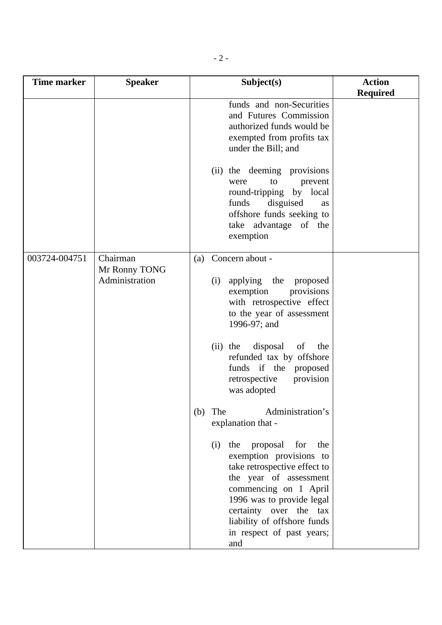| <b>Time marker</b> | <b>Speaker</b>                              | Subject(s)                                                                                                                                                                                                                                                                                                                           | <b>Action</b>   |
|--------------------|---------------------------------------------|--------------------------------------------------------------------------------------------------------------------------------------------------------------------------------------------------------------------------------------------------------------------------------------------------------------------------------------|-----------------|
|                    |                                             | funds and non-Securities<br>and Futures Commission<br>authorized funds would be<br>exempted from profits tax<br>under the Bill; and<br>(ii) the deeming provisions<br>to<br>prevent<br>were<br>round-tripping by local<br>funds<br>disguised<br>as<br>offshore funds seeking to<br>take advantage of the<br>exemption                | <b>Required</b> |
| 003724-004751      | Chairman<br>Mr Ronny TONG<br>Administration | (a) Concern about -<br>applying the<br>(i)<br>proposed<br>provisions<br>exemption<br>with retrospective effect<br>to the year of assessment<br>1996-97; and<br>disposal<br>of<br>the<br>$(ii)$ the<br>refunded tax by offshore<br>funds if the proposed<br>provision<br>retrospective<br>was adopted                                 |                 |
|                    |                                             | Administration's<br>The<br>(b)<br>explanation that -<br>proposal<br>the<br>for<br>the<br>(i)<br>exemption provisions to<br>take retrospective effect to<br>the year of assessment<br>commencing on 1 April<br>1996 was to provide legal<br>certainty over the tax<br>liability of offshore funds<br>in respect of past years;<br>and |                 |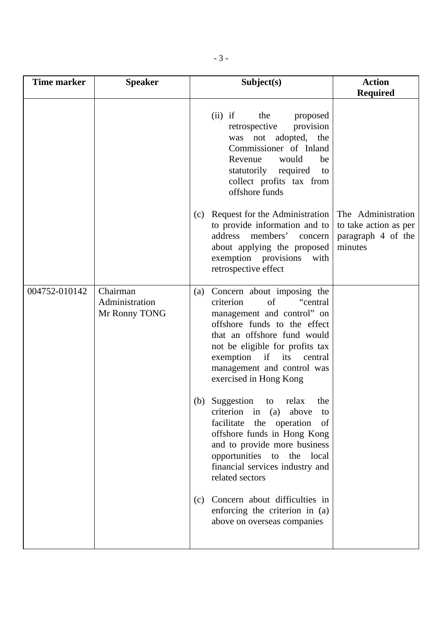| <b>Time marker</b> | <b>Speaker</b>                              | Subject(s)                                                                                                                                                                                                                                                                                    | <b>Action</b>                                          |
|--------------------|---------------------------------------------|-----------------------------------------------------------------------------------------------------------------------------------------------------------------------------------------------------------------------------------------------------------------------------------------------|--------------------------------------------------------|
|                    |                                             | $(ii)$ if<br>the<br>proposed<br>retrospective<br>provision<br>adopted, the<br>not<br>was<br>Commissioner of Inland<br>Revenue<br>would<br>be<br>statutorily required<br>to<br>collect profits tax from<br>offshore funds<br>Request for the Administration<br>(c)                             | <b>Required</b><br>The Administration                  |
|                    |                                             | to provide information and to<br>members'<br>address<br>concern<br>about applying the proposed<br>exemption provisions<br>with<br>retrospective effect                                                                                                                                        | to take action as per<br>paragraph 4 of the<br>minutes |
| 004752-010142      | Chairman<br>Administration<br>Mr Ronny TONG | Concern about imposing the<br>(a)<br>criterion<br>of<br>"central<br>management and control" on<br>offshore funds to the effect<br>that an offshore fund would<br>not be eligible for profits tax<br>exemption<br>if<br>its<br>central<br>management and control was<br>exercised in Hong Kong |                                                        |
|                    |                                             | Suggestion<br>the<br>relax<br>(b)<br>to<br>criterion<br>above<br>in<br>(a)<br>to<br>the<br>facilitate<br>operation<br>of<br>offshore funds in Hong Kong<br>and to provide more business<br>opportunities to the local<br>financial services industry and<br>related sectors                   |                                                        |
|                    |                                             | Concern about difficulties in<br>(c)<br>enforcing the criterion in (a)<br>above on overseas companies                                                                                                                                                                                         |                                                        |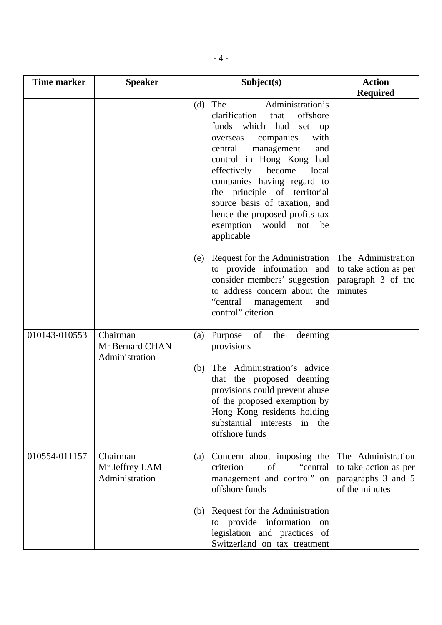| <b>Time marker</b> | <b>Speaker</b>                                | Subject(s)                                                                                                                                                                                                                                                                                                                                                                                                  | <b>Action</b>                                                                       |
|--------------------|-----------------------------------------------|-------------------------------------------------------------------------------------------------------------------------------------------------------------------------------------------------------------------------------------------------------------------------------------------------------------------------------------------------------------------------------------------------------------|-------------------------------------------------------------------------------------|
|                    |                                               |                                                                                                                                                                                                                                                                                                                                                                                                             | <b>Required</b>                                                                     |
|                    |                                               | Administration's<br>The<br>(d)<br>clarification<br>offshore<br>that<br>funds which had set<br>up<br>with<br>companies<br>overseas<br>central<br>management<br>and<br>control in Hong Kong had<br>effectively<br>become<br>local<br>companies having regard to<br>the principle of territorial<br>source basis of taxation, and<br>hence the proposed profits tax<br>exemption would not<br>be<br>applicable |                                                                                     |
|                    |                                               | Request for the Administration<br>(e)<br>to provide information and<br>consider members' suggestion<br>to address concern about the<br>"central<br>management<br>and<br>control" citerion                                                                                                                                                                                                                   | The Administration<br>to take action as per<br>paragraph 3 of the<br>minutes        |
| 010143-010553      | Chairman<br>Mr Bernard CHAN<br>Administration | of<br>(a) Purpose<br>the<br>deeming<br>provisions                                                                                                                                                                                                                                                                                                                                                           |                                                                                     |
|                    |                                               | The Administration's advice<br>(b)<br>that the proposed deeming<br>provisions could prevent abuse<br>of the proposed exemption by<br>Hong Kong residents holding<br>substantial interests<br>in the<br>offshore funds                                                                                                                                                                                       |                                                                                     |
| 010554-011157      | Chairman<br>Mr Jeffrey LAM<br>Administration  | Concern about imposing the<br>(a)<br>criterion<br>of<br>"central"<br>management and control" on<br>offshore funds                                                                                                                                                                                                                                                                                           | The Administration<br>to take action as per<br>paragraphs 3 and 5<br>of the minutes |
|                    |                                               | Request for the Administration<br>(b)<br>to provide information<br>on<br>legislation and practices of<br>Switzerland on tax treatment                                                                                                                                                                                                                                                                       |                                                                                     |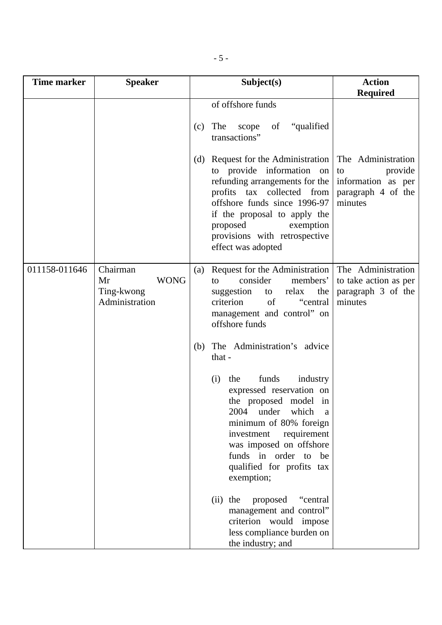| <b>Time marker</b> | <b>Speaker</b>                                                | Subject(s)                                                                                                                                                                                                                                                                         | <b>Action</b>                                                                              |
|--------------------|---------------------------------------------------------------|------------------------------------------------------------------------------------------------------------------------------------------------------------------------------------------------------------------------------------------------------------------------------------|--------------------------------------------------------------------------------------------|
|                    |                                                               |                                                                                                                                                                                                                                                                                    | <b>Required</b>                                                                            |
|                    |                                                               | of offshore funds                                                                                                                                                                                                                                                                  |                                                                                            |
|                    |                                                               | "qualified"<br>The<br>scope<br>of<br>(c)<br>transactions"                                                                                                                                                                                                                          |                                                                                            |
|                    |                                                               | Request for the Administration<br>(d)<br>to provide information on<br>refunding arrangements for the<br>profits tax collected from<br>offshore funds since 1996-97<br>if the proposal to apply the<br>proposed<br>exemption<br>provisions with retrospective<br>effect was adopted | The Administration<br>provide<br>to<br>information as per<br>paragraph 4 of the<br>minutes |
| 011158-011646      | Chairman<br><b>WONG</b><br>Mr<br>Ting-kwong<br>Administration | Request for the Administration<br>(a)<br>consider<br>members'<br>to<br>suggestion<br>relax<br>the<br>to<br>criterion<br>of<br>"central<br>management and control" on<br>offshore funds                                                                                             | The Administration<br>to take action as per<br>paragraph 3 of the<br>minutes               |
|                    |                                                               | The Administration's advice<br>(b)<br>that -                                                                                                                                                                                                                                       |                                                                                            |
|                    |                                                               | funds<br>industry<br>(i)<br>the<br>expressed reservation on<br>the proposed model in<br>2004<br>under<br>which<br>a<br>minimum of 80% foreign<br>investment<br>requirement<br>was imposed on offshore<br>funds in order to be<br>qualified for profits tax<br>exemption;           |                                                                                            |
|                    |                                                               | proposed<br>the<br>(ii)<br>"central"<br>management and control"<br>criterion would impose<br>less compliance burden on<br>the industry; and                                                                                                                                        |                                                                                            |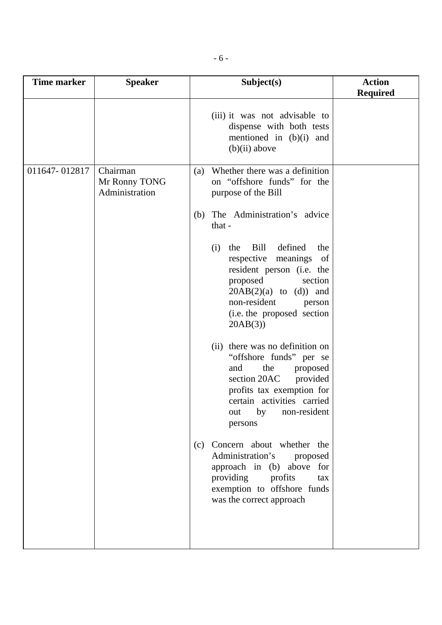| <b>Time marker</b> | <b>Speaker</b>                              | Subject(s)                                                                                                                                                                                                                                                                                                                                                                                                                                                                                                                                                                                                                                                                                                                                                                              | <b>Action</b>   |
|--------------------|---------------------------------------------|-----------------------------------------------------------------------------------------------------------------------------------------------------------------------------------------------------------------------------------------------------------------------------------------------------------------------------------------------------------------------------------------------------------------------------------------------------------------------------------------------------------------------------------------------------------------------------------------------------------------------------------------------------------------------------------------------------------------------------------------------------------------------------------------|-----------------|
|                    |                                             | (iii) it was not advisable to<br>dispense with both tests<br>mentioned in (b)(i) and<br>$(b)(ii)$ above                                                                                                                                                                                                                                                                                                                                                                                                                                                                                                                                                                                                                                                                                 | <b>Required</b> |
| 011647-012817      | Chairman<br>Mr Ronny TONG<br>Administration | Whether there was a definition<br>(a)<br>on "offshore funds" for the<br>purpose of the Bill<br>The Administration's advice<br>(b)<br>that -<br>Bill<br>defined<br>the<br>the<br>(i)<br>respective<br>meanings<br>- of<br>resident person (i.e. the<br>proposed<br>section<br>$20AB(2)(a)$ to (d)) and<br>non-resident<br>person<br>(i.e. the proposed section<br>20AB(3)<br>(ii) there was no definition on<br>"offshore funds" per se<br>the<br>and<br>proposed<br>section 20AC<br>provided<br>profits tax exemption for<br>certain activities carried<br>non-resident<br>by<br>out<br>persons<br>(c) Concern about whether the<br>Administration's<br>proposed<br>approach in (b) above for<br>providing<br>profits<br>tax<br>exemption to offshore funds<br>was the correct approach |                 |